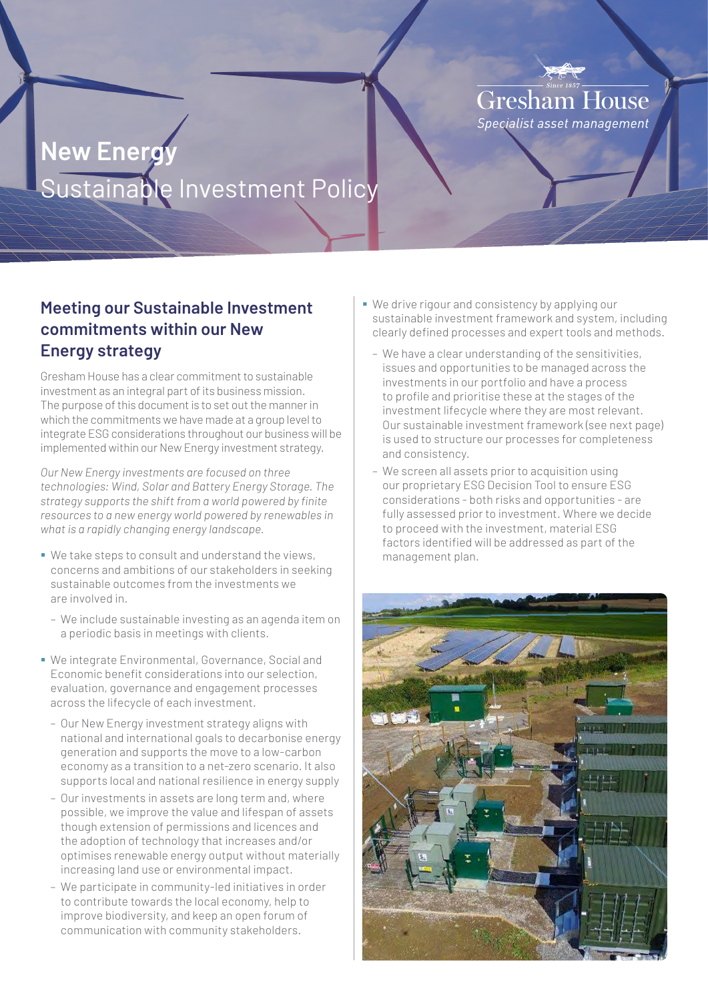# **Gresham House** Specialist asset management

# **New Energy** Sustainable Investment Policy

# **Meeting our Sustainable Investment commitments within our New Energy strategy**

Gresham House has a clear commitment to sustainable investment as an integral part of its business mission. The purpose of this document is to set out the manner in which the commitments we have made at a group level to integrate ESG considerations throughout our business will be implemented within our New Energy investment strategy.

*Our New Energy investments are focused on three technologies: Wind, Solar and Battery Energy Storage. The strategy supports the shift from a world powered by finite resources to a new energy world powered by renewables in what is a rapidly changing energy landscape.*

- We take steps to consult and understand the views, concerns and ambitions of our stakeholders in seeking sustainable outcomes from the investments we are involved in.
	- We include sustainable investing as an agenda item on a periodic basis in meetings with clients.
- We integrate Environmental, Governance, Social and Economic benefit considerations into our selection, evaluation, governance and engagement processes across the lifecycle of each investment.
	- Our New Energy investment strategy aligns with national and international goals to decarbonise energy generation and supports the move to a low-carbon economy as a transition to a net-zero scenario. It also supports local and national resilience in energy supply
	- Our investments in assets are long term and, where possible, we improve the value and lifespan of assets though extension of permissions and licences and the adoption of technology that increases and/or optimises renewable energy output without materially increasing land use or environmental impact.
	- We participate in community-led initiatives in order to contribute towards the local economy, help to improve biodiversity, and keep an open forum of communication with community stakeholders.
- We drive rigour and consistency by applying our sustainable investment framework and system, including clearly defined processes and expert tools and methods.
	- We have a clear understanding of the sensitivities, issues and opportunities to be managed across the investments in our portfolio and have a process to profile and prioritise these at the stages of the investment lifecycle where they are most relevant. Our sustainable investment framework (see next page) is used to structure our processes for completeness and consistency.
	- We screen all assets prior to acquisition using our proprietary ESG Decision Tool to ensure ESG considerations - both risks and opportunities - are fully assessed prior to investment. Where we decide to proceed with the investment, material ESG factors identified will be addressed as part of the management plan.

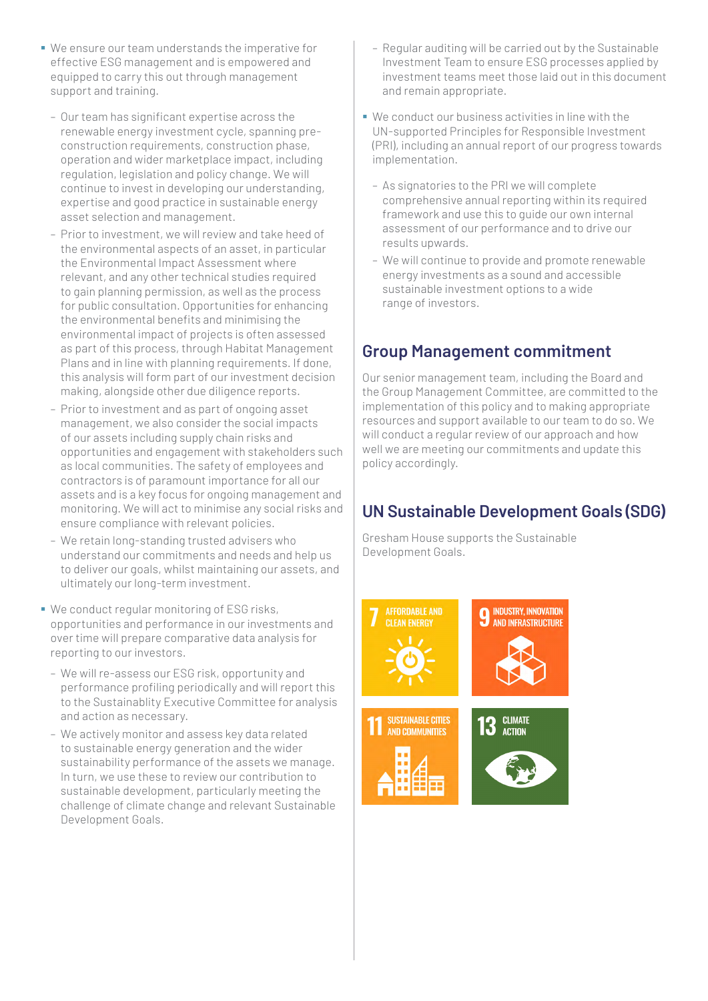- We ensure our team understands the imperative for effective ESG management and is empowered and equipped to carry this out through management support and training.
	- Our team has significant expertise across the renewable energy investment cycle, spanning preconstruction requirements, construction phase, operation and wider marketplace impact, including regulation, legislation and policy change. We will continue to invest in developing our understanding, expertise and good practice in sustainable energy asset selection and management.
	- Prior to investment, we will review and take heed of the environmental aspects of an asset, in particular the Environmental Impact Assessment where relevant, and any other technical studies required to gain planning permission, as well as the process for public consultation. Opportunities for enhancing the environmental benefits and minimising the environmental impact of projects is often assessed as part of this process, through Habitat Management Plans and in line with planning requirements. If done, this analysis will form part of our investment decision making, alongside other due diligence reports.
	- Prior to investment and as part of ongoing asset management, we also consider the social impacts of our assets including supply chain risks and opportunities and engagement with stakeholders such as local communities. The safety of employees and contractors is of paramount importance for all our assets and is a key focus for ongoing management and monitoring. We will act to minimise any social risks and ensure compliance with relevant policies.
	- We retain long-standing trusted advisers who understand our commitments and needs and help us to deliver our goals, whilst maintaining our assets, and ultimately our long-term investment.
- We conduct regular monitoring of ESG risks, opportunities and performance in our investments and over time will prepare comparative data analysis for reporting to our investors.
	- We will re-assess our ESG risk, opportunity and performance profiling periodically and will report this to the Sustainablity Executive Committee for analysis and action as necessary.
	- We actively monitor and assess key data related to sustainable energy generation and the wider sustainability performance of the assets we manage. In turn, we use these to review our contribution to sustainable development, particularly meeting the challenge of climate change and relevant Sustainable Development Goals.
- Regular auditing will be carried out by the Sustainable Investment Team to ensure ESG processes applied by investment teams meet those laid out in this document and remain appropriate.
- We conduct our business activities in line with the UN-supported Principles for Responsible Investment (PRI), including an annual report of our progress towards implementation.
	- As signatories to the PRI we will complete comprehensive annual reporting within its required framework and use this to guide our own internal assessment of our performance and to drive our results upwards.
	- We will continue to provide and promote renewable energy investments as a sound and accessible sustainable investment options to a wide range of investors.

#### **Group Management commitment**

Our senior management team, including the Board and the Group Management Committee, are committed to the implementation of this policy and to making appropriate resources and support available to our team to do so. We will conduct a regular review of our approach and how well we are meeting our commitments and update this policy accordingly.

# **UN Sustainable Development Goals (SDG)**

Gresham House supports the Sustainable Development Goals.